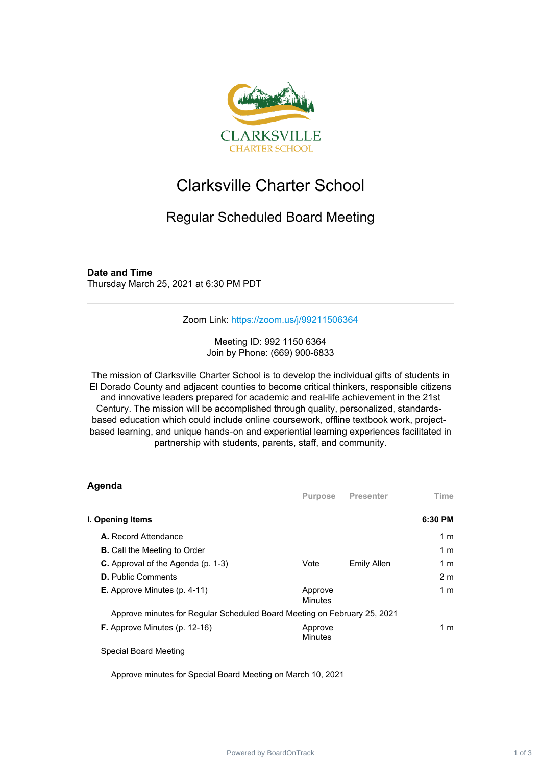

## Clarksville Charter School

## Regular Scheduled Board Meeting

## **Date and Time**

Thursday March 25, 2021 at 6:30 PM PDT

Zoom Link: <https://zoom.us/j/99211506364>

Meeting ID: 992 1150 6364 Join by Phone: (669) 900-6833

The mission of Clarksville Charter School is to develop the individual gifts of students in El Dorado County and adjacent counties to become critical thinkers, responsible citizens and innovative leaders prepared for academic and real-life achievement in the 21st Century. The mission will be accomplished through quality, personalized, standardsbased education which could include online coursework, offline textbook work, projectbased learning, and unique hands‐on and experiential learning experiences facilitated in partnership with students, parents, staff, and community.

| <b>Purpose</b>            | <b>Presenter</b> | Time                                                                     |
|---------------------------|------------------|--------------------------------------------------------------------------|
|                           |                  | 6:30 PM                                                                  |
|                           |                  | 1 <sub>m</sub>                                                           |
|                           |                  | 1 m                                                                      |
| Vote                      | Emily Allen      | 1 m                                                                      |
|                           |                  | 2 <sub>m</sub>                                                           |
| Approve<br><b>Minutes</b> |                  | 1 m                                                                      |
|                           |                  |                                                                          |
| Approve<br>Minutes        |                  | 1 m                                                                      |
|                           |                  | Approve minutes for Regular Scheduled Board Meeting on February 25, 2021 |

## Special Board Meeting

Approve minutes for Special Board Meeting on March 10, 2021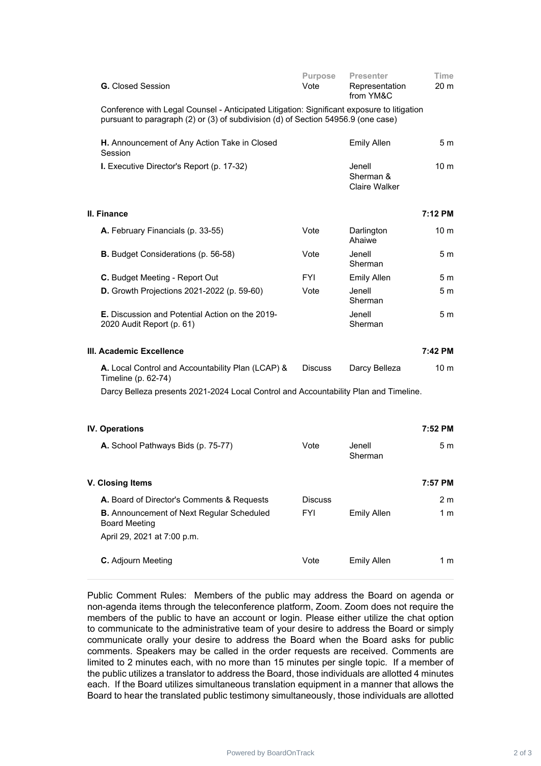| <b>G.</b> Closed Session                                                                                                                                                        | Purpose<br>Vote | <b>Presenter</b><br>Representation<br>from YM&C | Time<br>20 <sub>m</sub> |
|---------------------------------------------------------------------------------------------------------------------------------------------------------------------------------|-----------------|-------------------------------------------------|-------------------------|
| Conference with Legal Counsel - Anticipated Litigation: Significant exposure to litigation<br>pursuant to paragraph (2) or (3) of subdivision (d) of Section 54956.9 (one case) |                 |                                                 |                         |
| H. Announcement of Any Action Take in Closed<br>Session                                                                                                                         |                 | <b>Emily Allen</b>                              | 5 m                     |
| I. Executive Director's Report (p. 17-32)                                                                                                                                       |                 | Jenell<br>Sherman &<br>Claire Walker            | 10 <sub>m</sub>         |
| II. Finance                                                                                                                                                                     |                 |                                                 | 7:12 PM                 |
| A. February Financials (p. 33-55)                                                                                                                                               | Vote            | Darlington<br>Ahaiwe                            | 10 <sub>m</sub>         |
| <b>B.</b> Budget Considerations (p. 56-58)                                                                                                                                      | Vote            | Jenell<br>Sherman                               | 5 m                     |
| C. Budget Meeting - Report Out                                                                                                                                                  | <b>FYI</b>      | <b>Emily Allen</b>                              | 5 m                     |
| <b>D.</b> Growth Projections 2021-2022 (p. 59-60)                                                                                                                               | Vote            | Jenell<br>Sherman                               | 5m                      |
| <b>E.</b> Discussion and Potential Action on the 2019-<br>2020 Audit Report (p. 61)                                                                                             |                 | Jenell<br>Sherman                               | 5 m                     |
| III. Academic Excellence                                                                                                                                                        |                 |                                                 | 7:42 PM                 |
| A. Local Control and Accountability Plan (LCAP) &<br>Timeline (p. 62-74)                                                                                                        | <b>Discuss</b>  | Darcy Belleza                                   | 10 <sub>m</sub>         |
| Darcy Belleza presents 2021-2024 Local Control and Accountability Plan and Timeline.                                                                                            |                 |                                                 |                         |
| <b>IV. Operations</b>                                                                                                                                                           |                 |                                                 | 7:52 PM                 |
|                                                                                                                                                                                 |                 |                                                 |                         |
| A. School Pathways Bids (p. 75-77)                                                                                                                                              | Vote            | Jenell<br>Sherman                               | 5 m                     |
| V. Closing Items                                                                                                                                                                |                 |                                                 | 7:57 PM                 |
| A. Board of Director's Comments & Requests                                                                                                                                      | <b>Discuss</b>  |                                                 | 2 m                     |
| <b>B.</b> Announcement of Next Regular Scheduled<br><b>Board Meeting</b>                                                                                                        | FYI             | <b>Emily Allen</b>                              | 1 m                     |
| April 29, 2021 at 7:00 p.m.                                                                                                                                                     |                 |                                                 |                         |
| C. Adjourn Meeting                                                                                                                                                              | Vote            | <b>Emily Allen</b>                              | 1 <sub>m</sub>          |

Public Comment Rules: Members of the public may address the Board on agenda or non-agenda items through the teleconference platform, Zoom. Zoom does not require the members of the public to have an account or login. Please either utilize the chat option to communicate to the administrative team of your desire to address the Board or simply communicate orally your desire to address the Board when the Board asks for public comments. Speakers may be called in the order requests are received. Comments are limited to 2 minutes each, with no more than 15 minutes per single topic. If a member of the public utilizes a translator to address the Board, those individuals are allotted 4 minutes each. If the Board utilizes simultaneous translation equipment in a manner that allows the Board to hear the translated public testimony simultaneously, those individuals are allotted